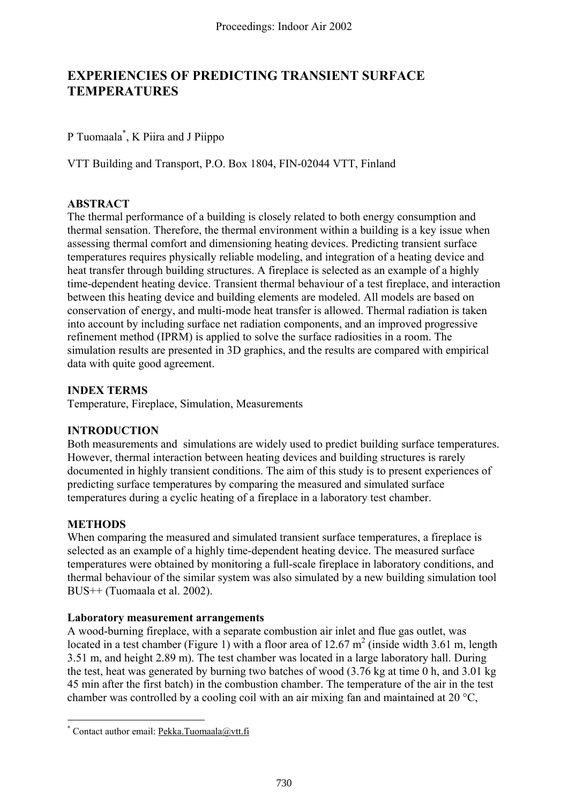# **EXPERIENCIES OF PREDICTING TRANSIENT SURFACE TEMPERATURES**

## P Tuomaala[\\*](#page-0-0) , K Piira and J Piippo

VTT Building and Transport, P.O. Box 1804, FIN-02044 VTT, Finland

## **ABSTRACT**

The thermal performance of a building is closely related to both energy consumption and thermal sensation. Therefore, the thermal environment within a building is a key issue when assessing thermal comfort and dimensioning heating devices. Predicting transient surface temperatures requires physically reliable modeling, and integration of a heating device and heat transfer through building structures. A fireplace is selected as an example of a highly time-dependent heating device. Transient thermal behaviour of a test fireplace, and interaction between this heating device and building elements are modeled. All models are based on conservation of energy, and multi-mode heat transfer is allowed. Thermal radiation is taken into account by including surface net radiation components, and an improved progressive refinement method (IPRM) is applied to solve the surface radiosities in a room. The simulation results are presented in 3D graphics, and the results are compared with empirical data with quite good agreement.

## **INDEX TERMS**

Temperature, Fireplace, Simulation, Measurements

## **INTRODUCTION**

Both measurements and simulations are widely used to predict building surface temperatures. However, thermal interaction between heating devices and building structures is rarely documented in highly transient conditions. The aim of this study is to present experiences of predicting surface temperatures by comparing the measured and simulated surface temperatures during a cyclic heating of a fireplace in a laboratory test chamber.

## **METHODS**

 $\overline{a}$ 

When comparing the measured and simulated transient surface temperatures, a fireplace is selected as an example of a highly time-dependent heating device. The measured surface temperatures were obtained by monitoring a full-scale fireplace in laboratory conditions, and thermal behaviour of the similar system was also simulated by a new building simulation tool BUS++ (Tuomaala et al. 2002).

#### **Laboratory measurement arrangements**

A wood-burning fireplace, with a separate combustion air inlet and flue gas outlet, was located in a test chamber (Figure 1) with a floor area of 12.67  $m^2$  (inside width 3.61 m, length 3.51 m, and height 2.89 m). The test chamber was located in a large laboratory hall. During the test, heat was generated by burning two batches of wood (3.76 kg at time 0 h, and 3.01 kg 45 min after the first batch) in the combustion chamber. The temperature of the air in the test chamber was controlled by a cooling coil with an air mixing fan and maintained at 20 °C,

<span id="page-0-0"></span><sup>\*</sup> Contact author email: Pekka.Tuomaala@vtt.fi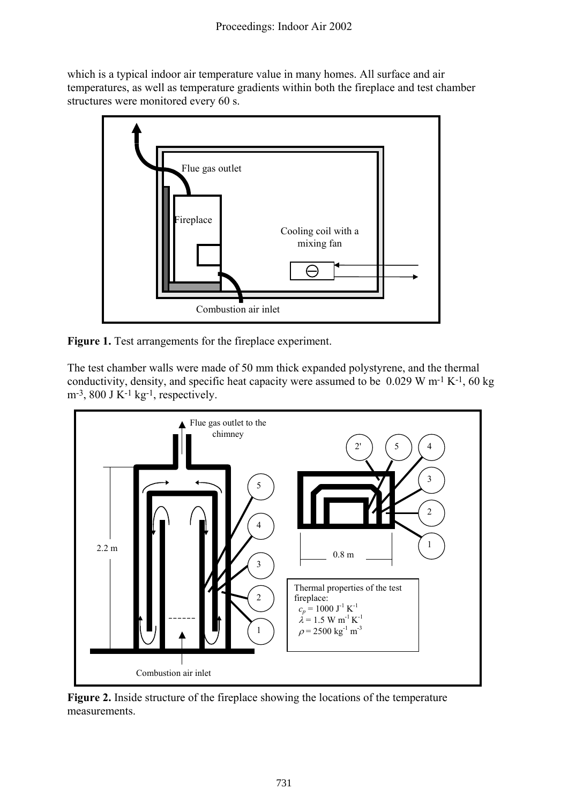which is a typical indoor air temperature value in many homes. All surface and air temperatures, as well as temperature gradients within both the fireplace and test chamber structures were monitored every 60 s.



**Figure 1.** Test arrangements for the fireplace experiment.

The test chamber walls were made of 50 mm thick expanded polystyrene, and the thermal conductivity, density, and specific heat capacity were assumed to be  $0.029 \text{ W m}^{-1} \text{ K}^{-1}$ , 60 kg  $m<sup>-3</sup>$ , 800 J K<sup>-1</sup> kg<sup>-1</sup>, respectively.



**Figure 2.** Inside structure of the fireplace showing the locations of the temperature measurements.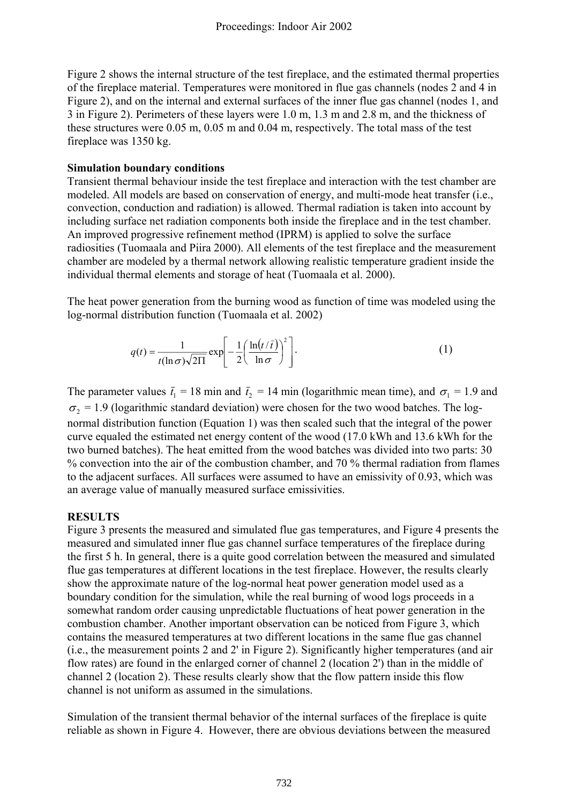Figure 2 shows the internal structure of the test fireplace, and the estimated thermal properties of the fireplace material. Temperatures were monitored in flue gas channels (nodes 2 and 4 in Figure 2), and on the internal and external surfaces of the inner flue gas channel (nodes 1, and 3 in Figure 2). Perimeters of these layers were 1.0 m, 1.3 m and 2.8 m, and the thickness of these structures were 0.05 m, 0.05 m and 0.04 m, respectively. The total mass of the test fireplace was 1350 kg.

## **Simulation boundary conditions**

Transient thermal behaviour inside the test fireplace and interaction with the test chamber are modeled. All models are based on conservation of energy, and multi-mode heat transfer (i.e., convection, conduction and radiation) is allowed. Thermal radiation is taken into account by including surface net radiation components both inside the fireplace and in the test chamber. An improved progressive refinement method (IPRM) is applied to solve the surface radiosities (Tuomaala and Piira 2000). All elements of the test fireplace and the measurement chamber are modeled by a thermal network allowing realistic temperature gradient inside the individual thermal elements and storage of heat (Tuomaala et al. 2000).

The heat power generation from the burning wood as function of time was modeled using the log-normal distribution function (Tuomaala et al. 2002)

$$
q(t) = \frac{1}{t(\ln \sigma)\sqrt{2\Pi}} \exp\left[-\frac{1}{2}\left(\frac{\ln(t/\bar{t})}{\ln \sigma}\right)^2\right].
$$
 (1)

The parameter values  $\bar{t}_1 = 18$  min and  $\bar{t}_2 = 14$  min (logarithmic mean time), and  $\sigma_1 = 1.9$  and  $\sigma_2$  = 1.9 (logarithmic standard deviation) were chosen for the two wood batches. The lognormal distribution function (Equation 1) was then scaled such that the integral of the power curve equaled the estimated net energy content of the wood (17.0 kWh and 13.6 kWh for the two burned batches). The heat emitted from the wood batches was divided into two parts: 30 % convection into the air of the combustion chamber, and 70 % thermal radiation from flames to the adjacent surfaces. All surfaces were assumed to have an emissivity of 0.93, which was an average value of manually measured surface emissivities.

## **RESULTS**

Figure 3 presents the measured and simulated flue gas temperatures, and Figure 4 presents the measured and simulated inner flue gas channel surface temperatures of the fireplace during the first 5 h. In general, there is a quite good correlation between the measured and simulated flue gas temperatures at different locations in the test fireplace. However, the results clearly show the approximate nature of the log-normal heat power generation model used as a boundary condition for the simulation, while the real burning of wood logs proceeds in a somewhat random order causing unpredictable fluctuations of heat power generation in the combustion chamber. Another important observation can be noticed from Figure 3, which contains the measured temperatures at two different locations in the same flue gas channel (i.e., the measurement points 2 and 2' in Figure 2). Significantly higher temperatures (and air flow rates) are found in the enlarged corner of channel 2 (location 2') than in the middle of channel 2 (location 2). These results clearly show that the flow pattern inside this flow channel is not uniform as assumed in the simulations.

Simulation of the transient thermal behavior of the internal surfaces of the fireplace is quite reliable as shown in Figure 4. However, there are obvious deviations between the measured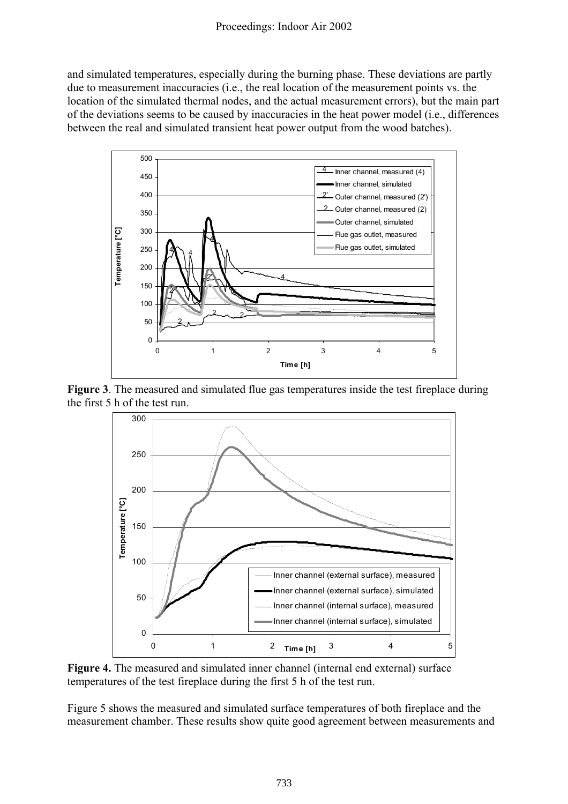and simulated temperatures, especially during the burning phase. These deviations are partly due to measurement inaccuracies (i.e., the real location of the measurement points vs. the location of the simulated thermal nodes, and the actual measurement errors), but the main part of the deviations seems to be caused by inaccuracies in the heat power model (i.e., differences between the real and simulated transient heat power output from the wood batches).







**Figure 4.** The measured and simulated inner channel (internal end external) surface temperatures of the test fireplace during the first 5 h of the test run.

Figure 5 shows the measured and simulated surface temperatures of both fireplace and the measurement chamber. These results show quite good agreement between measurements and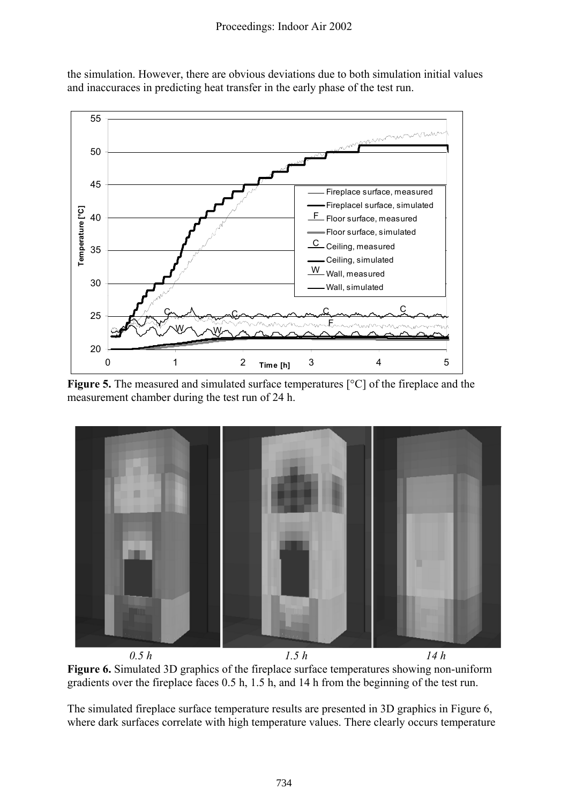

the simulation. However, there are obvious deviations due to both simulation initial values and inaccuraces in predicting heat transfer in the early phase of the test run.

**Figure 5.** The measured and simulated surface temperatures [°C] of the fireplace and the measurement chamber during the test run of 24 h.



*0.5 h 1.5 h 14 h* **Figure 6.** Simulated 3D graphics of the fireplace surface temperatures showing non-uniform gradients over the fireplace faces 0.5 h, 1.5 h, and 14 h from the beginning of the test run.

The simulated fireplace surface temperature results are presented in 3D graphics in Figure 6, where dark surfaces correlate with high temperature values. There clearly occurs temperature